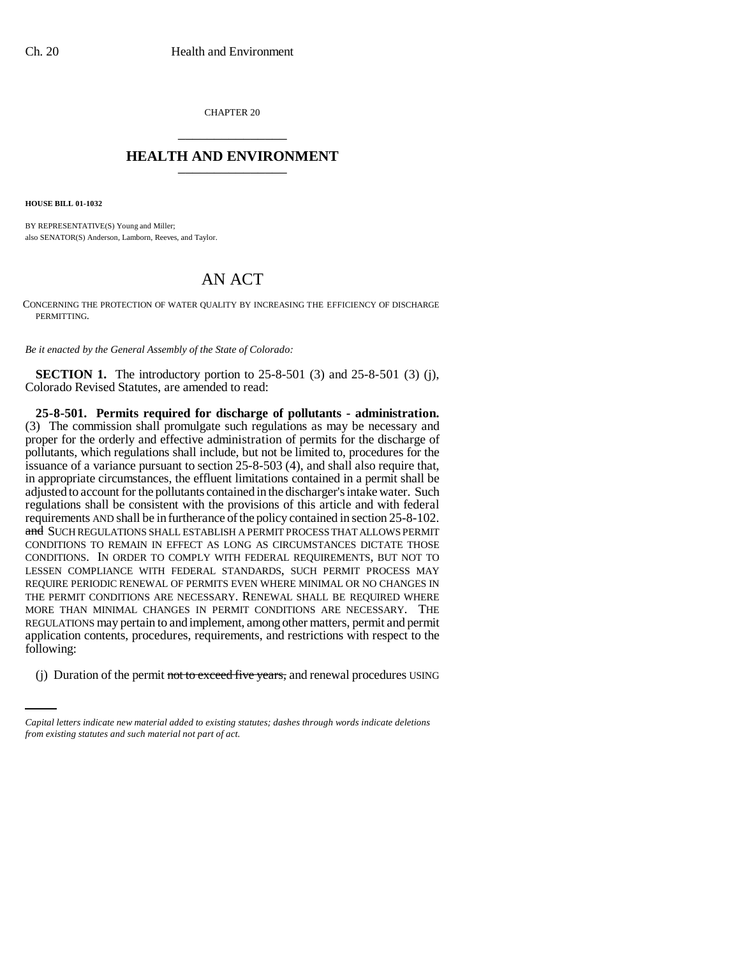CHAPTER 20 \_\_\_\_\_\_\_\_\_\_\_\_\_\_\_

## **HEALTH AND ENVIRONMENT** \_\_\_\_\_\_\_\_\_\_\_\_\_\_\_

**HOUSE BILL 01-1032**

BY REPRESENTATIVE(S) Young and Miller; also SENATOR(S) Anderson, Lamborn, Reeves, and Taylor.

## AN ACT

CONCERNING THE PROTECTION OF WATER QUALITY BY INCREASING THE EFFICIENCY OF DISCHARGE PERMITTING.

*Be it enacted by the General Assembly of the State of Colorado:*

**SECTION 1.** The introductory portion to 25-8-501 (3) and 25-8-501 (3) (j), Colorado Revised Statutes, are amended to read:

following: **25-8-501. Permits required for discharge of pollutants - administration.** (3) The commission shall promulgate such regulations as may be necessary and proper for the orderly and effective administration of permits for the discharge of pollutants, which regulations shall include, but not be limited to, procedures for the issuance of a variance pursuant to section 25-8-503 (4), and shall also require that, in appropriate circumstances, the effluent limitations contained in a permit shall be adjusted to account for the pollutants contained in the discharger's intake water. Such regulations shall be consistent with the provisions of this article and with federal requirements AND shall be in furtherance of the policy contained in section 25-8-102. and SUCH REGULATIONS SHALL ESTABLISH A PERMIT PROCESS THAT ALLOWS PERMIT CONDITIONS TO REMAIN IN EFFECT AS LONG AS CIRCUMSTANCES DICTATE THOSE CONDITIONS. IN ORDER TO COMPLY WITH FEDERAL REQUIREMENTS, BUT NOT TO LESSEN COMPLIANCE WITH FEDERAL STANDARDS, SUCH PERMIT PROCESS MAY REQUIRE PERIODIC RENEWAL OF PERMITS EVEN WHERE MINIMAL OR NO CHANGES IN THE PERMIT CONDITIONS ARE NECESSARY. RENEWAL SHALL BE REQUIRED WHERE MORE THAN MINIMAL CHANGES IN PERMIT CONDITIONS ARE NECESSARY. THE REGULATIONS may pertain to and implement, among other matters, permit and permit application contents, procedures, requirements, and restrictions with respect to the

(j) Duration of the permit not to exceed five years, and renewal procedures USING

*Capital letters indicate new material added to existing statutes; dashes through words indicate deletions from existing statutes and such material not part of act.*